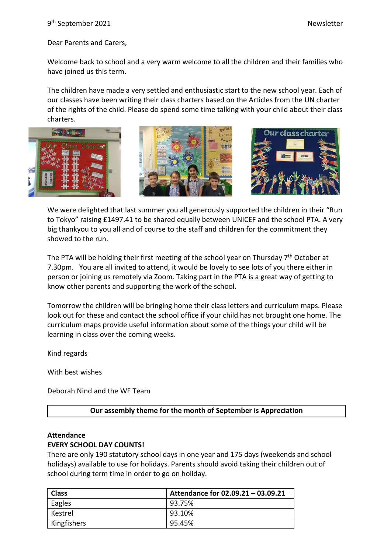9 th September 2021 Newsletter

Dear Parents and Carers,

Welcome back to school and a very warm welcome to all the children and their families who have joined us this term.

The children have made a very settled and enthusiastic start to the new school year. Each of our classes have been writing their class charters based on the Articles from the UN charter of the rights of the child. Please do spend some time talking with your child about their class charters.







We were delighted that last summer you all generously supported the children in their "Run to Tokyo" raising £1497.41 to be shared equally between UNICEF and the school PTA. A very big thankyou to you all and of course to the staff and children for the commitment they showed to the run.

The PTA will be holding their first meeting of the school year on Thursday 7<sup>th</sup> October at 7.30pm. You are all invited to attend, it would be lovely to see lots of you there either in person or joining us remotely via Zoom. Taking part in the PTA is a great way of getting to know other parents and supporting the work of the school.

Tomorrow the children will be bringing home their class letters and curriculum maps. Please look out for these and contact the school office if your child has not brought one home. The curriculum maps provide useful information about some of the things your child will be learning in class over the coming weeks.

Kind regards

With best wishes

Deborah Nind and the WF Team

## **Our assembly theme for the month of September is Appreciation**

### **Attendance**

#### **EVERY SCHOOL DAY COUNTS!**

There are only 190 statutory school days in one year and 175 days (weekends and school holidays) available to use for holidays. Parents should avoid taking their children out of school during term time in order to go on holiday.

| <b>Class</b> | Attendance for 02.09.21 - 03.09.21 |
|--------------|------------------------------------|
| ' Eagles     | 93.75%                             |
| l Kestrel    | 93.10%                             |
| Kingfishers  | 95.45%                             |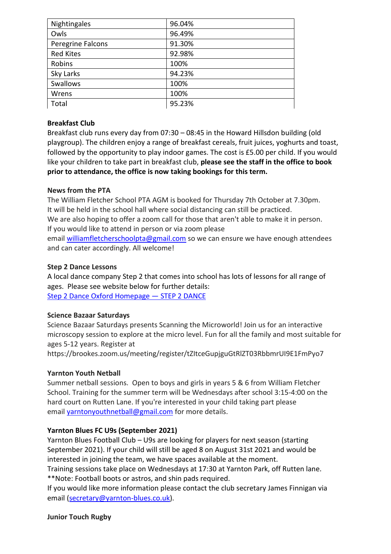| Nightingales      | 96.04% |
|-------------------|--------|
| Owls              | 96.49% |
| Peregrine Falcons | 91.30% |
| <b>Red Kites</b>  | 92.98% |
| Robins            | 100%   |
| Sky Larks         | 94.23% |
| Swallows          | 100%   |
| Wrens             | 100%   |
| Total             | 95.23% |

# **Breakfast Club**

Breakfast club runs every day from 07:30 – 08:45 in the Howard Hillsdon building (old playgroup). The children enjoy a range of breakfast cereals, fruit juices, yoghurts and toast, followed by the opportunity to play indoor games. The cost is £5.00 per child. If you would like your children to take part in breakfast club, **please see the staff in the office to book prior to attendance, the office is now taking bookings for this term.**

# **News from the PTA**

The William Fletcher School PTA AGM is booked for Thursday 7th October at 7.30pm. It will be held in the school hall where social distancing can still be practiced. We are also hoping to offer a zoom call for those that aren't able to make it in person. If you would like to attend in person or via zoom please email [williamfletcherschoolpta@gmail.com](mailto:williamfletcherschoolpta@gmail.com) so we can ensure we have enough attendees

and can cater accordingly. All welcome!

# **Step 2 Dance Lessons**

A local dance company Step 2 that comes into school has lots of lessons for all range of ages. Please see website below for further details: [Step 2 Dance Oxford Homepage](https://www.step2dance.co.uk/home) — STEP 2 DANCE

# **Science Bazaar Saturdays**

Science Bazaar Saturdays presents Scanning the Microworld! Join us for an interactive microscopy session to explore at the micro level. Fun for all the family and most suitable for ages 5-12 years. Register at

https://brookes.zoom.us/meeting/register/tZItceGupjguGtRlZT03RbbmrUI9E1FmPyo7

# **Yarnton Youth Netball**

Summer netball sessions. Open to boys and girls in years 5 & 6 from William Fletcher School. Training for the summer term will be Wednesdays after school 3:15-4:00 on the hard court on Rutten Lane. If you're interested in your child taking part please email [yarntonyouthnetball@gmail.com](mailto:yarntonyouthnetball@gmail.com) for more details.

# **Yarnton Blues FC U9s (September 2021)**

Yarnton Blues Football Club – U9s are looking for players for next season (starting September 2021). If your child will still be aged 8 on August 31st 2021 and would be interested in joining the team, we have spaces available at the moment.

Training sessions take place on Wednesdays at 17:30 at Yarnton Park, off Rutten lane. \*\*Note: Football boots or astros, and shin pads required.

If you would like more information please contact the club secretary James Finnigan via email [\(secretary@yarnton-blues.co.uk\)](mailto:secretary@yarnton-blues.co.uk).

# **Junior Touch Rugby**